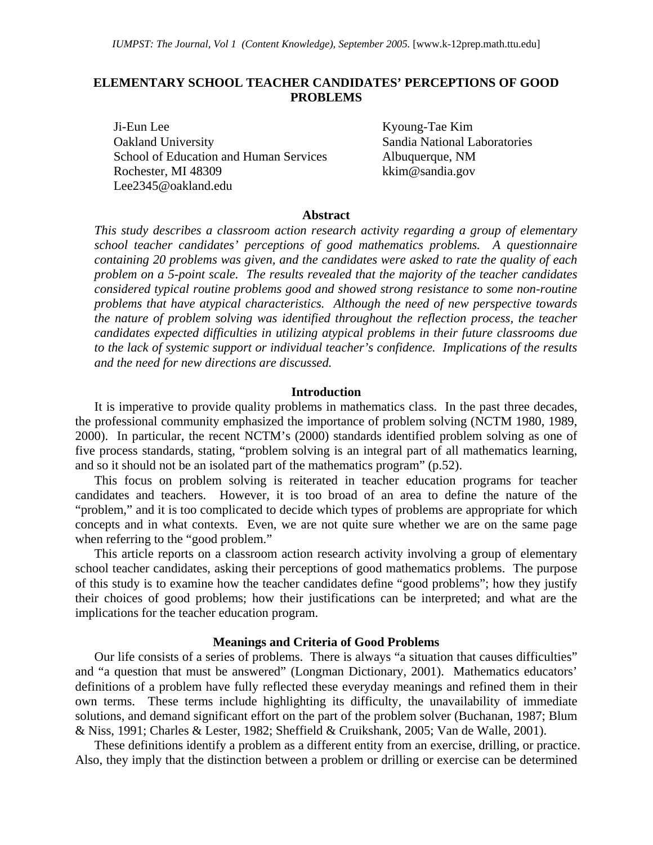# **ELEMENTARY SCHOOL TEACHER CANDIDATES' PERCEPTIONS OF GOOD PROBLEMS**

Ji-Eun Lee Kyoung-Tae Kim Oakland University Sandia National Laboratories School of Education and Human Services Albuquerque, NM Rochester, MI 48309 kkim@sandia.gov Lee2345@oakland.edu

#### **Abstract**

*This study describes a classroom action research activity regarding a group of elementary school teacher candidates' perceptions of good mathematics problems. A questionnaire containing 20 problems was given, and the candidates were asked to rate the quality of each problem on a 5-point scale. The results revealed that the majority of the teacher candidates considered typical routine problems good and showed strong resistance to some non-routine problems that have atypical characteristics. Although the need of new perspective towards the nature of problem solving was identified throughout the reflection process, the teacher candidates expected difficulties in utilizing atypical problems in their future classrooms due to the lack of systemic support or individual teacher's confidence. Implications of the results and the need for new directions are discussed.* 

#### **Introduction**

It is imperative to provide quality problems in mathematics class. In the past three decades, the professional community emphasized the importance of problem solving (NCTM 1980, 1989, 2000). In particular, the recent NCTM's (2000) standards identified problem solving as one of five process standards, stating, "problem solving is an integral part of all mathematics learning, and so it should not be an isolated part of the mathematics program" (p.52).

This focus on problem solving is reiterated in teacher education programs for teacher candidates and teachers. However, it is too broad of an area to define the nature of the "problem," and it is too complicated to decide which types of problems are appropriate for which concepts and in what contexts. Even, we are not quite sure whether we are on the same page when referring to the "good problem."

This article reports on a classroom action research activity involving a group of elementary school teacher candidates, asking their perceptions of good mathematics problems. The purpose of this study is to examine how the teacher candidates define "good problems"; how they justify their choices of good problems; how their justifications can be interpreted; and what are the implications for the teacher education program.

## **Meanings and Criteria of Good Problems**

Our life consists of a series of problems. There is always "a situation that causes difficulties" and "a question that must be answered" (Longman Dictionary, 2001). Mathematics educators' definitions of a problem have fully reflected these everyday meanings and refined them in their own terms. These terms include highlighting its difficulty, the unavailability of immediate solutions, and demand significant effort on the part of the problem solver (Buchanan, 1987; Blum & Niss, 1991; Charles & Lester, 1982; Sheffield & Cruikshank, 2005; Van de Walle, 2001).

These definitions identify a problem as a different entity from an exercise, drilling, or practice. Also, they imply that the distinction between a problem or drilling or exercise can be determined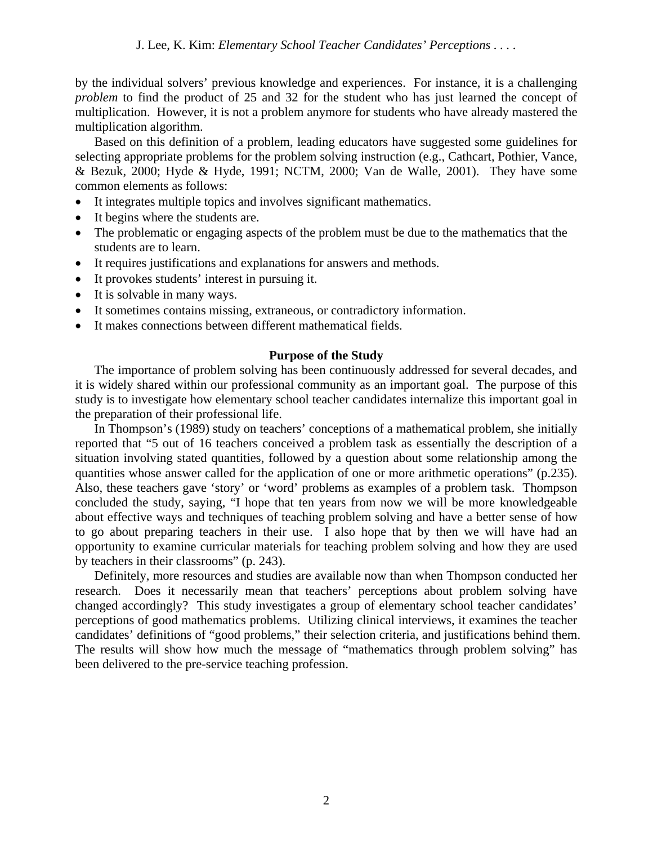by the individual solvers' previous knowledge and experiences. For instance, it is a challenging *problem* to find the product of 25 and 32 for the student who has just learned the concept of multiplication. However, it is not a problem anymore for students who have already mastered the multiplication algorithm.

Based on this definition of a problem, leading educators have suggested some guidelines for selecting appropriate problems for the problem solving instruction (e.g., Cathcart, Pothier, Vance, & Bezuk, 2000; Hyde & Hyde, 1991; NCTM, 2000; Van de Walle, 2001). They have some common elements as follows:

- It integrates multiple topics and involves significant mathematics.
- It begins where the students are.
- The problematic or engaging aspects of the problem must be due to the mathematics that the students are to learn.
- It requires justifications and explanations for answers and methods.
- It provokes students' interest in pursuing it.
- It is solvable in many ways.
- It sometimes contains missing, extraneous, or contradictory information.
- It makes connections between different mathematical fields.

# **Purpose of the Study**

The importance of problem solving has been continuously addressed for several decades, and it is widely shared within our professional community as an important goal. The purpose of this study is to investigate how elementary school teacher candidates internalize this important goal in the preparation of their professional life.

In Thompson's (1989) study on teachers' conceptions of a mathematical problem, she initially reported that "5 out of 16 teachers conceived a problem task as essentially the description of a situation involving stated quantities, followed by a question about some relationship among the quantities whose answer called for the application of one or more arithmetic operations" (p.235). Also, these teachers gave 'story' or 'word' problems as examples of a problem task. Thompson concluded the study, saying, "I hope that ten years from now we will be more knowledgeable about effective ways and techniques of teaching problem solving and have a better sense of how to go about preparing teachers in their use. I also hope that by then we will have had an opportunity to examine curricular materials for teaching problem solving and how they are used by teachers in their classrooms" (p. 243).

Definitely, more resources and studies are available now than when Thompson conducted her research. Does it necessarily mean that teachers' perceptions about problem solving have changed accordingly? This study investigates a group of elementary school teacher candidates' perceptions of good mathematics problems. Utilizing clinical interviews, it examines the teacher candidates' definitions of "good problems," their selection criteria, and justifications behind them. The results will show how much the message of "mathematics through problem solving" has been delivered to the pre-service teaching profession.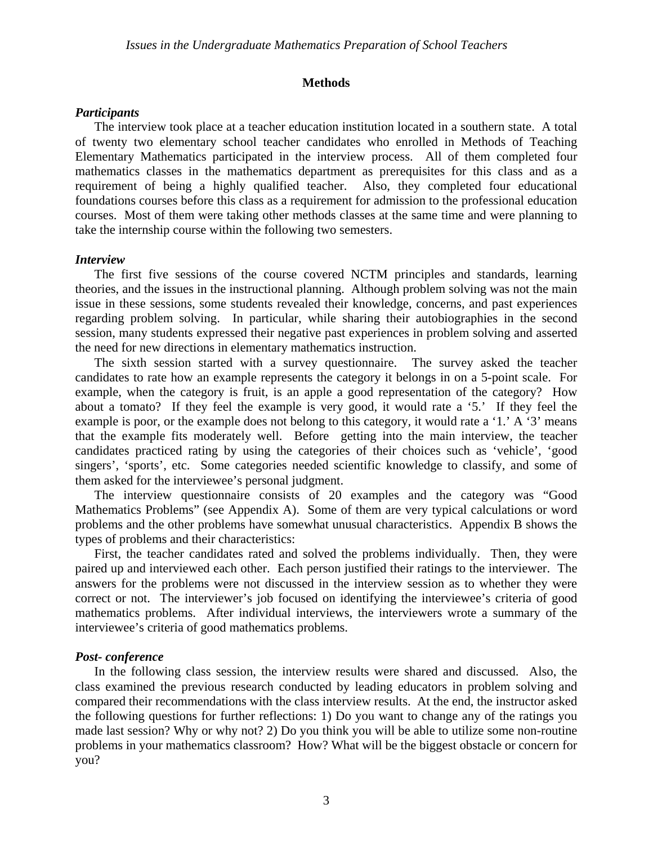#### **Methods**

## *Participants*

The interview took place at a teacher education institution located in a southern state. A total of twenty two elementary school teacher candidates who enrolled in Methods of Teaching Elementary Mathematics participated in the interview process. All of them completed four mathematics classes in the mathematics department as prerequisites for this class and as a requirement of being a highly qualified teacher. Also, they completed four educational foundations courses before this class as a requirement for admission to the professional education courses. Most of them were taking other methods classes at the same time and were planning to take the internship course within the following two semesters.

#### *Interview*

The first five sessions of the course covered NCTM principles and standards, learning theories, and the issues in the instructional planning. Although problem solving was not the main issue in these sessions, some students revealed their knowledge, concerns, and past experiences regarding problem solving. In particular, while sharing their autobiographies in the second session, many students expressed their negative past experiences in problem solving and asserted the need for new directions in elementary mathematics instruction.

The sixth session started with a survey questionnaire. The survey asked the teacher candidates to rate how an example represents the category it belongs in on a 5-point scale. For example, when the category is fruit, is an apple a good representation of the category? How about a tomato? If they feel the example is very good, it would rate a '5.' If they feel the example is poor, or the example does not belong to this category, it would rate a '1.' A '3' means that the example fits moderately well. Before getting into the main interview, the teacher candidates practiced rating by using the categories of their choices such as 'vehicle', 'good singers', 'sports', etc. Some categories needed scientific knowledge to classify, and some of them asked for the interviewee's personal judgment.

The interview questionnaire consists of 20 examples and the category was "Good Mathematics Problems" (see Appendix A). Some of them are very typical calculations or word problems and the other problems have somewhat unusual characteristics. Appendix B shows the types of problems and their characteristics:

First, the teacher candidates rated and solved the problems individually. Then, they were paired up and interviewed each other. Each person justified their ratings to the interviewer. The answers for the problems were not discussed in the interview session as to whether they were correct or not. The interviewer's job focused on identifying the interviewee's criteria of good mathematics problems. After individual interviews, the interviewers wrote a summary of the interviewee's criteria of good mathematics problems.

## *Post- conference*

In the following class session, the interview results were shared and discussed. Also, the class examined the previous research conducted by leading educators in problem solving and compared their recommendations with the class interview results. At the end, the instructor asked the following questions for further reflections: 1) Do you want to change any of the ratings you made last session? Why or why not? 2) Do you think you will be able to utilize some non-routine problems in your mathematics classroom? How? What will be the biggest obstacle or concern for you?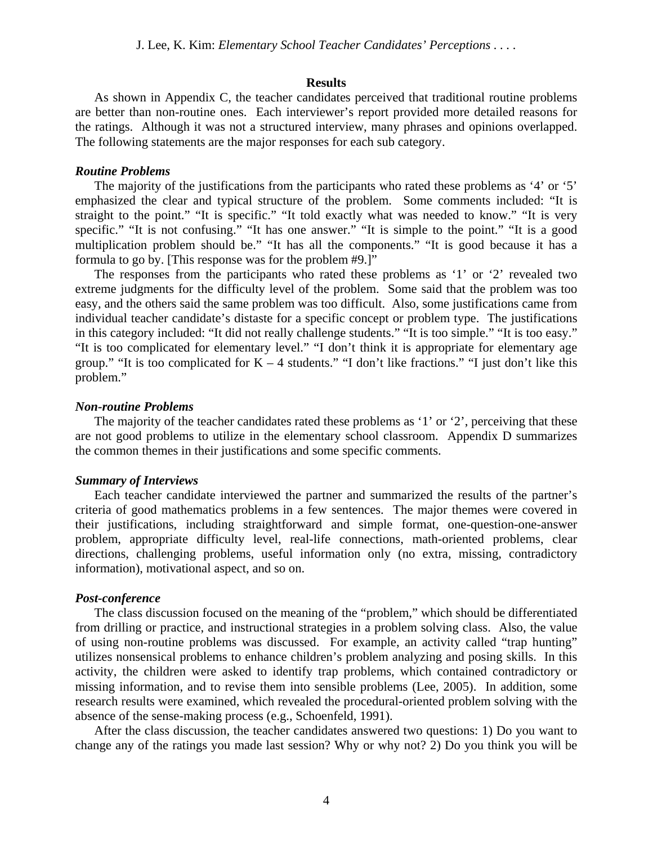#### **Results**

As shown in Appendix C, the teacher candidates perceived that traditional routine problems are better than non-routine ones. Each interviewer's report provided more detailed reasons for the ratings. Although it was not a structured interview, many phrases and opinions overlapped. The following statements are the major responses for each sub category.

#### *Routine Problems*

The majority of the justifications from the participants who rated these problems as '4' or '5' emphasized the clear and typical structure of the problem. Some comments included: "It is straight to the point." "It is specific." "It told exactly what was needed to know." "It is very specific." "It is not confusing." "It has one answer." "It is simple to the point." "It is a good multiplication problem should be." "It has all the components." "It is good because it has a formula to go by. [This response was for the problem #9.]"

The responses from the participants who rated these problems as '1' or '2' revealed two extreme judgments for the difficulty level of the problem. Some said that the problem was too easy, and the others said the same problem was too difficult. Also, some justifications came from individual teacher candidate's distaste for a specific concept or problem type. The justifications in this category included: "It did not really challenge students." "It is too simple." "It is too easy." "It is too complicated for elementary level." "I don't think it is appropriate for elementary age group." "It is too complicated for  $K - 4$  students." "I don't like fractions." "I just don't like this problem."

#### *Non-routine Problems*

The majority of the teacher candidates rated these problems as '1' or '2', perceiving that these are not good problems to utilize in the elementary school classroom. Appendix D summarizes the common themes in their justifications and some specific comments.

# *Summary of Interviews*

Each teacher candidate interviewed the partner and summarized the results of the partner's criteria of good mathematics problems in a few sentences. The major themes were covered in their justifications, including straightforward and simple format, one-question-one-answer problem, appropriate difficulty level, real-life connections, math-oriented problems, clear directions, challenging problems, useful information only (no extra, missing, contradictory information), motivational aspect, and so on.

## *Post-conference*

The class discussion focused on the meaning of the "problem," which should be differentiated from drilling or practice, and instructional strategies in a problem solving class. Also, the value of using non-routine problems was discussed. For example, an activity called "trap hunting" utilizes nonsensical problems to enhance children's problem analyzing and posing skills. In this activity, the children were asked to identify trap problems, which contained contradictory or missing information, and to revise them into sensible problems (Lee, 2005). In addition, some research results were examined, which revealed the procedural-oriented problem solving with the absence of the sense-making process (e.g., Schoenfeld, 1991).

After the class discussion, the teacher candidates answered two questions: 1) Do you want to change any of the ratings you made last session? Why or why not? 2) Do you think you will be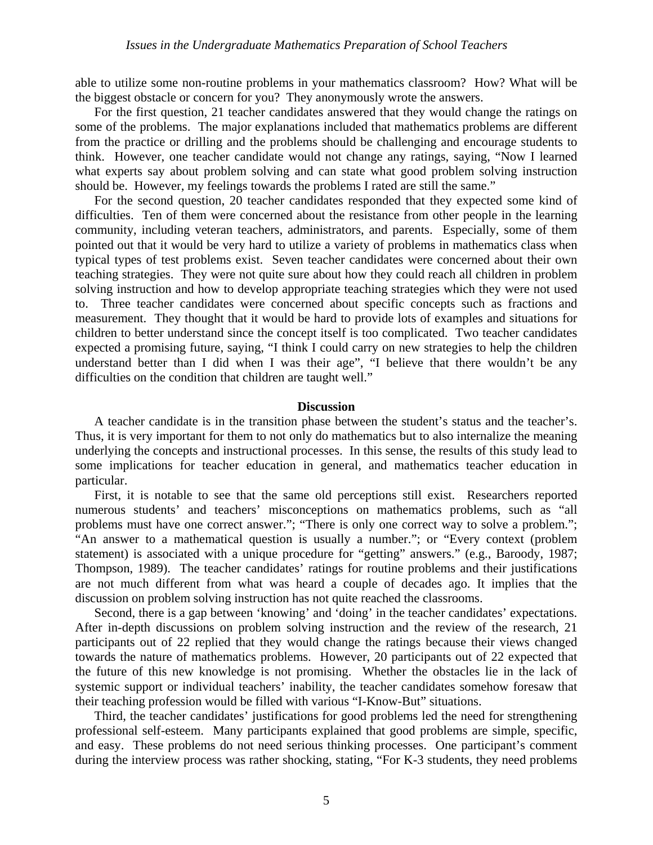able to utilize some non-routine problems in your mathematics classroom? How? What will be the biggest obstacle or concern for you? They anonymously wrote the answers.

For the first question, 21 teacher candidates answered that they would change the ratings on some of the problems. The major explanations included that mathematics problems are different from the practice or drilling and the problems should be challenging and encourage students to think. However, one teacher candidate would not change any ratings, saying, "Now I learned what experts say about problem solving and can state what good problem solving instruction should be. However, my feelings towards the problems I rated are still the same."

For the second question, 20 teacher candidates responded that they expected some kind of difficulties. Ten of them were concerned about the resistance from other people in the learning community, including veteran teachers, administrators, and parents. Especially, some of them pointed out that it would be very hard to utilize a variety of problems in mathematics class when typical types of test problems exist. Seven teacher candidates were concerned about their own teaching strategies. They were not quite sure about how they could reach all children in problem solving instruction and how to develop appropriate teaching strategies which they were not used to. Three teacher candidates were concerned about specific concepts such as fractions and measurement. They thought that it would be hard to provide lots of examples and situations for children to better understand since the concept itself is too complicated. Two teacher candidates expected a promising future, saying, "I think I could carry on new strategies to help the children understand better than I did when I was their age", "I believe that there wouldn't be any difficulties on the condition that children are taught well."

## **Discussion**

A teacher candidate is in the transition phase between the student's status and the teacher's. Thus, it is very important for them to not only do mathematics but to also internalize the meaning underlying the concepts and instructional processes. In this sense, the results of this study lead to some implications for teacher education in general, and mathematics teacher education in particular.

First, it is notable to see that the same old perceptions still exist. Researchers reported numerous students' and teachers' misconceptions on mathematics problems, such as "all problems must have one correct answer."; "There is only one correct way to solve a problem."; "An answer to a mathematical question is usually a number."; or "Every context (problem statement) is associated with a unique procedure for "getting" answers." (e.g., Baroody, 1987; Thompson, 1989). The teacher candidates' ratings for routine problems and their justifications are not much different from what was heard a couple of decades ago. It implies that the discussion on problem solving instruction has not quite reached the classrooms.

Second, there is a gap between 'knowing' and 'doing' in the teacher candidates' expectations. After in-depth discussions on problem solving instruction and the review of the research, 21 participants out of 22 replied that they would change the ratings because their views changed towards the nature of mathematics problems. However, 20 participants out of 22 expected that the future of this new knowledge is not promising. Whether the obstacles lie in the lack of systemic support or individual teachers' inability, the teacher candidates somehow foresaw that their teaching profession would be filled with various "I-Know-But" situations.

Third, the teacher candidates' justifications for good problems led the need for strengthening professional self-esteem. Many participants explained that good problems are simple, specific, and easy. These problems do not need serious thinking processes. One participant's comment during the interview process was rather shocking, stating, "For K-3 students, they need problems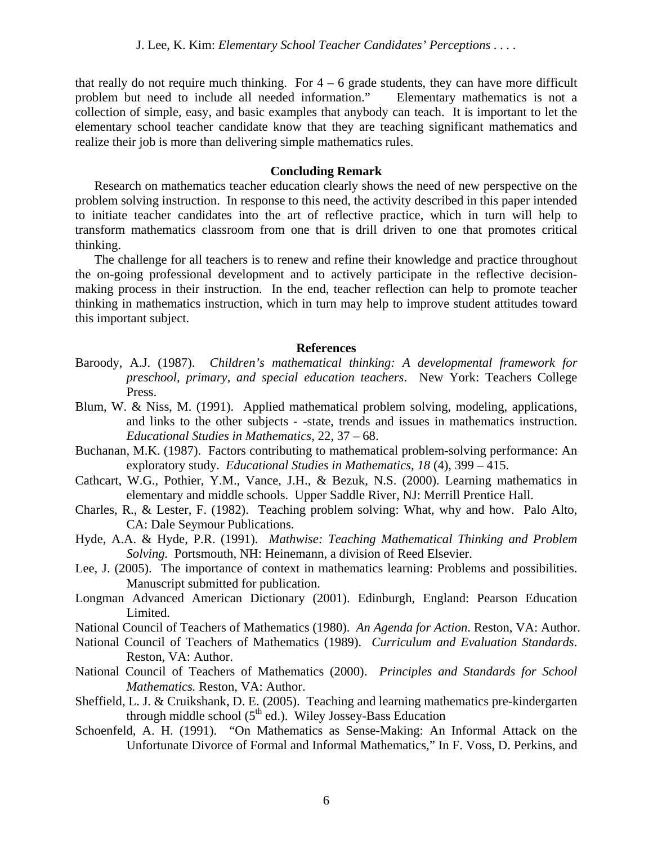that really do not require much thinking. For  $4 - 6$  grade students, they can have more difficult problem but need to include all needed information." Elementary mathematics is not a collection of simple, easy, and basic examples that anybody can teach. It is important to let the elementary school teacher candidate know that they are teaching significant mathematics and realize their job is more than delivering simple mathematics rules.

## **Concluding Remark**

Research on mathematics teacher education clearly shows the need of new perspective on the problem solving instruction. In response to this need, the activity described in this paper intended to initiate teacher candidates into the art of reflective practice, which in turn will help to transform mathematics classroom from one that is drill driven to one that promotes critical thinking.

The challenge for all teachers is to renew and refine their knowledge and practice throughout the on-going professional development and to actively participate in the reflective decisionmaking process in their instruction. In the end, teacher reflection can help to promote teacher thinking in mathematics instruction, which in turn may help to improve student attitudes toward this important subject.

### **References**

- Baroody, A.J. (1987). *Children's mathematical thinking: A developmental framework for preschool, primary, and special education teachers*. New York: Teachers College Press.
- Blum, W. & Niss, M. (1991). Applied mathematical problem solving, modeling, applications, and links to the other subjects - -state, trends and issues in mathematics instruction. *Educational Studies in Mathematics*, 22, 37 – 68.
- Buchanan, M.K. (1987). Factors contributing to mathematical problem-solving performance: An exploratory study. *Educational Studies in Mathematics, 18* (4), 399 – 415.
- Cathcart, W.G., Pothier, Y.M., Vance, J.H., & Bezuk, N.S. (2000). Learning mathematics in elementary and middle schools. Upper Saddle River, NJ: Merrill Prentice Hall.
- Charles, R., & Lester, F. (1982). Teaching problem solving: What, why and how. Palo Alto, CA: Dale Seymour Publications.
- Hyde, A.A. & Hyde, P.R. (1991). *Mathwise: Teaching Mathematical Thinking and Problem Solving.* Portsmouth, NH: Heinemann, a division of Reed Elsevier.
- Lee, J. (2005). The importance of context in mathematics learning: Problems and possibilities. Manuscript submitted for publication.
- Longman Advanced American Dictionary (2001). Edinburgh, England: Pearson Education Limited.

National Council of Teachers of Mathematics (1980). *An Agenda for Action*. Reston, VA: Author.

- National Council of Teachers of Mathematics (1989). *Curriculum and Evaluation Standards*. Reston, VA: Author.
- National Council of Teachers of Mathematics (2000). *Principles and Standards for School Mathematics.* Reston, VA: Author.
- Sheffield, L. J. & Cruikshank, D. E. (2005). Teaching and learning mathematics pre-kindergarten through middle school  $(5<sup>th</sup>$  ed.). Wiley Jossey-Bass Education
- Schoenfeld, A. H. (1991). "On Mathematics as Sense-Making: An Informal Attack on the Unfortunate Divorce of Formal and Informal Mathematics," In F. Voss, D. Perkins, and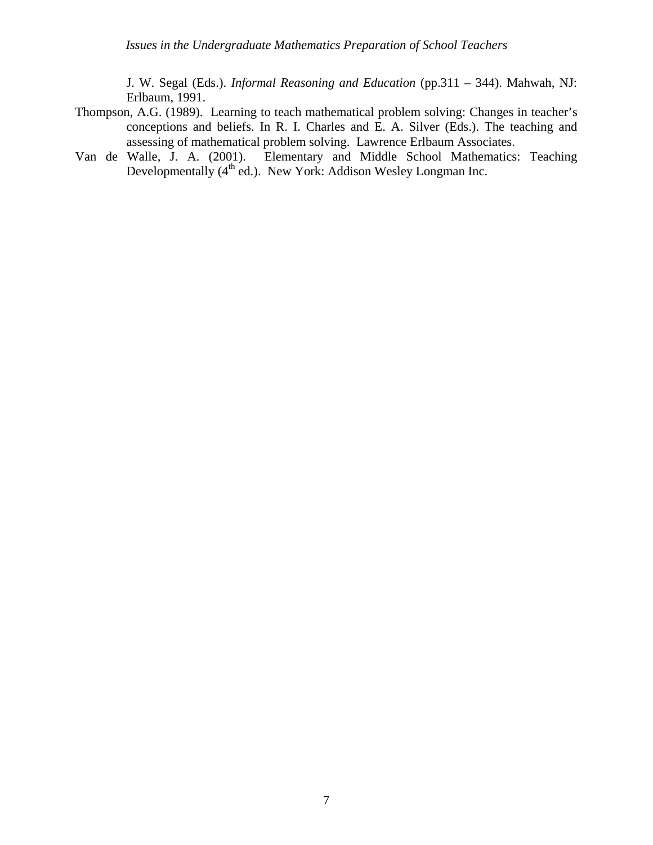J. W. Segal (Eds.). *Informal Reasoning and Education* (pp.311 – 344). Mahwah, NJ: Erlbaum, 1991.

- Thompson, A.G. (1989). Learning to teach mathematical problem solving: Changes in teacher's conceptions and beliefs. In R. I. Charles and E. A. Silver (Eds.). The teaching and assessing of mathematical problem solving. Lawrence Erlbaum Associates.
- Van de Walle, J. A. (2001). Elementary and Middle School Mathematics: Teaching Developmentally (4<sup>th</sup> ed.). New York: Addison Wesley Longman Inc.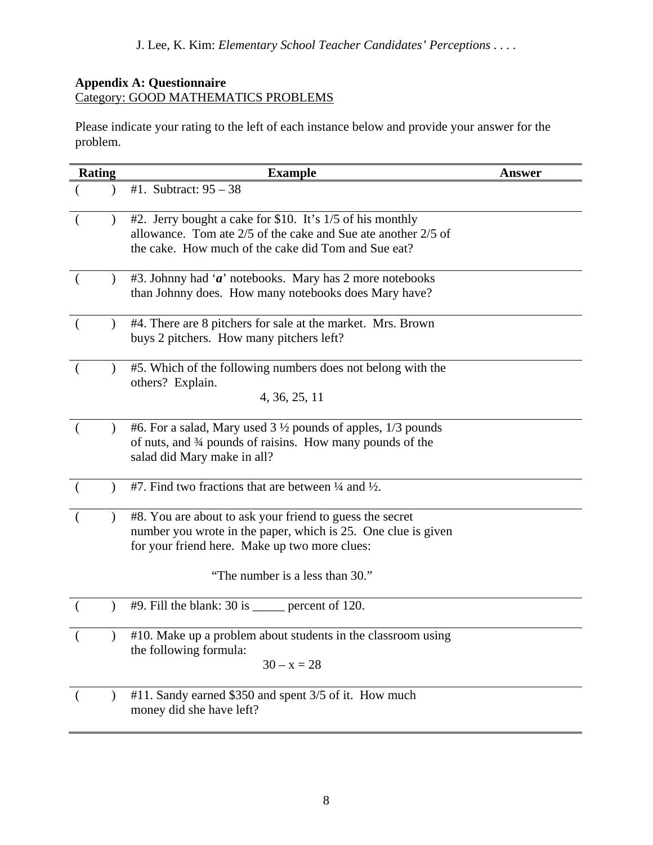# **Appendix A: Questionnaire**  Category: GOOD MATHEMATICS PROBLEMS

Please indicate your rating to the left of each instance below and provide your answer for the problem.

| <b>Rating</b> |               | <b>Example</b>                                                                                                                                                                                                | Answer |
|---------------|---------------|---------------------------------------------------------------------------------------------------------------------------------------------------------------------------------------------------------------|--------|
|               |               | #1. Subtract: $95 - 38$                                                                                                                                                                                       |        |
|               |               | #2. Jerry bought a cake for \$10. It's 1/5 of his monthly<br>allowance. Tom ate 2/5 of the cake and Sue ate another 2/5 of<br>the cake. How much of the cake did Tom and Sue eat?                             |        |
| $\left($      |               | #3. Johnny had ' $\alpha$ ' notebooks. Mary has 2 more notebooks<br>than Johnny does. How many notebooks does Mary have?                                                                                      |        |
| $\left($      |               | #4. There are 8 pitchers for sale at the market. Mrs. Brown<br>buys 2 pitchers. How many pitchers left?                                                                                                       |        |
| €             |               | #5. Which of the following numbers does not belong with the<br>others? Explain.<br>4, 36, 25, 11                                                                                                              |        |
| $\left($      | $\mathcal{L}$ | #6. For a salad, Mary used 3 1/2 pounds of apples, 1/3 pounds<br>of nuts, and 34 pounds of raisins. How many pounds of the<br>salad did Mary make in all?                                                     |        |
|               |               | #7. Find two fractions that are between $\frac{1}{4}$ and $\frac{1}{2}$ .                                                                                                                                     |        |
| $\left($      |               | #8. You are about to ask your friend to guess the secret<br>number you wrote in the paper, which is 25. One clue is given<br>for your friend here. Make up two more clues:<br>"The number is a less than 30." |        |
|               |               | $#9$ . Fill the blank: 30 is ______ percent of 120.                                                                                                                                                           |        |
|               |               | #10. Make up a problem about students in the classroom using<br>the following formula:<br>$30 - x = 28$                                                                                                       |        |
| $\left($      |               | #11. Sandy earned \$350 and spent 3/5 of it. How much<br>money did she have left?                                                                                                                             |        |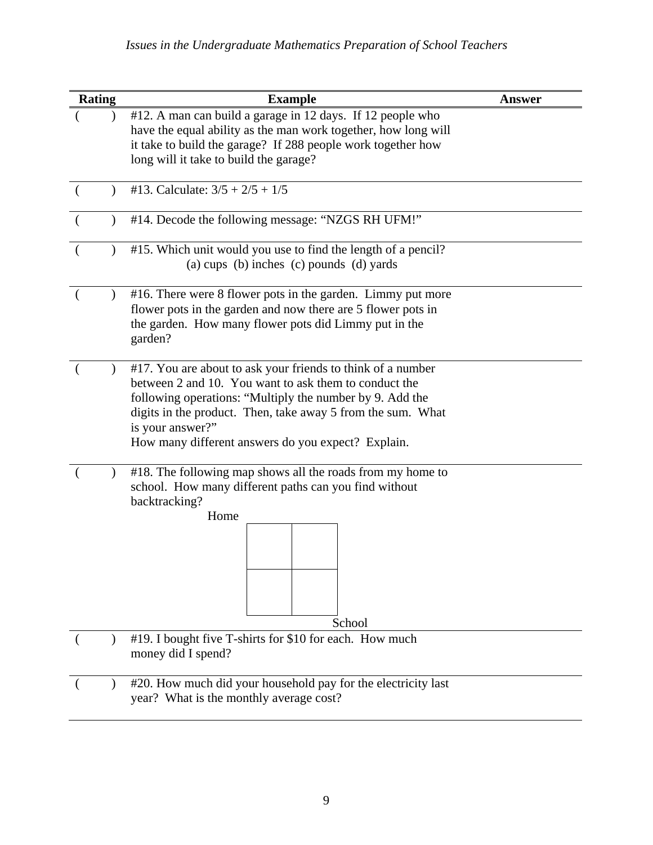| Rating | <b>Example</b>                                                                                                                                                                                                                                                                                                            | <b>Answer</b> |  |
|--------|---------------------------------------------------------------------------------------------------------------------------------------------------------------------------------------------------------------------------------------------------------------------------------------------------------------------------|---------------|--|
|        | #12. A man can build a garage in 12 days. If 12 people who<br>have the equal ability as the man work together, how long will<br>it take to build the garage? If 288 people work together how<br>long will it take to build the garage?                                                                                    |               |  |
|        | #13. Calculate: $3/5 + 2/5 + 1/5$                                                                                                                                                                                                                                                                                         |               |  |
|        | #14. Decode the following message: "NZGS RH UFM!"                                                                                                                                                                                                                                                                         |               |  |
|        | #15. Which unit would you use to find the length of a pencil?<br>(a) cups (b) inches (c) pounds (d) yards                                                                                                                                                                                                                 |               |  |
|        | #16. There were 8 flower pots in the garden. Limmy put more<br>flower pots in the garden and now there are 5 flower pots in<br>the garden. How many flower pots did Limmy put in the<br>garden?                                                                                                                           |               |  |
|        | #17. You are about to ask your friends to think of a number<br>between 2 and 10. You want to ask them to conduct the<br>following operations: "Multiply the number by 9. Add the<br>digits in the product. Then, take away 5 from the sum. What<br>is your answer?"<br>How many different answers do you expect? Explain. |               |  |
|        | #18. The following map shows all the roads from my home to<br>school. How many different paths can you find without<br>backtracking?<br>Home<br>School                                                                                                                                                                    |               |  |
|        | #19. I bought five T-shirts for \$10 for each. How much<br>money did I spend?                                                                                                                                                                                                                                             |               |  |
|        | #20. How much did your household pay for the electricity last<br>year? What is the monthly average cost?                                                                                                                                                                                                                  |               |  |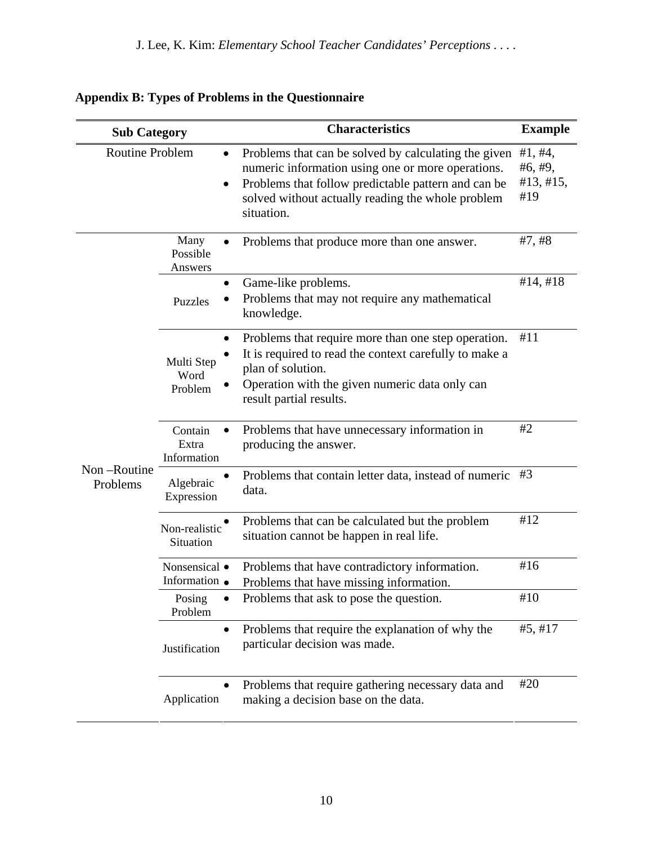| <b>Sub Category</b>                 |                                                                                                                            | <b>Characteristics</b>                                                                                                                                                                                                              | <b>Example</b>                         |
|-------------------------------------|----------------------------------------------------------------------------------------------------------------------------|-------------------------------------------------------------------------------------------------------------------------------------------------------------------------------------------------------------------------------------|----------------------------------------|
| <b>Routine Problem</b><br>$\bullet$ |                                                                                                                            | Problems that can be solved by calculating the given<br>numeric information using one or more operations.<br>Problems that follow predictable pattern and can be<br>solved without actually reading the whole problem<br>situation. | #1, #4,<br>#6, #9,<br>#13, #15,<br>#19 |
|                                     | Many<br>Possible<br>Answers                                                                                                | Problems that produce more than one answer.                                                                                                                                                                                         | #7, #8                                 |
|                                     | $\bullet$<br>Puzzles                                                                                                       | Game-like problems.<br>Problems that may not require any mathematical<br>knowledge.                                                                                                                                                 |                                        |
|                                     | ٠<br>Multi Step<br>Word<br>Problem                                                                                         | Problems that require more than one step operation.<br>It is required to read the context carefully to make a<br>plan of solution.<br>Operation with the given numeric data only can<br>result partial results.                     | #11                                    |
|                                     | Contain<br>Extra<br>Information                                                                                            | Problems that have unnecessary information in<br>producing the answer.                                                                                                                                                              | #2                                     |
| Non-Routine<br>Problems             | Algebraic<br>Expression                                                                                                    | Problems that contain letter data, instead of numeric<br>data.                                                                                                                                                                      | #3                                     |
|                                     | Non-realistic<br>Situation                                                                                                 | Problems that can be calculated but the problem<br>situation cannot be happen in real life.                                                                                                                                         | #12                                    |
|                                     | Problems that have contradictory information.<br>Nonsensical •<br>Information •<br>Problems that have missing information. |                                                                                                                                                                                                                                     | #16                                    |
|                                     | Posing<br>Problem                                                                                                          | Problems that ask to pose the question.                                                                                                                                                                                             | $\#10$                                 |
|                                     | $\bullet$<br>Justification                                                                                                 | Problems that require the explanation of why the<br>particular decision was made.                                                                                                                                                   | #5, #17                                |
|                                     | $\bullet$<br>Application                                                                                                   | Problems that require gathering necessary data and<br>making a decision base on the data.                                                                                                                                           | #20                                    |

# **Appendix B: Types of Problems in the Questionnaire**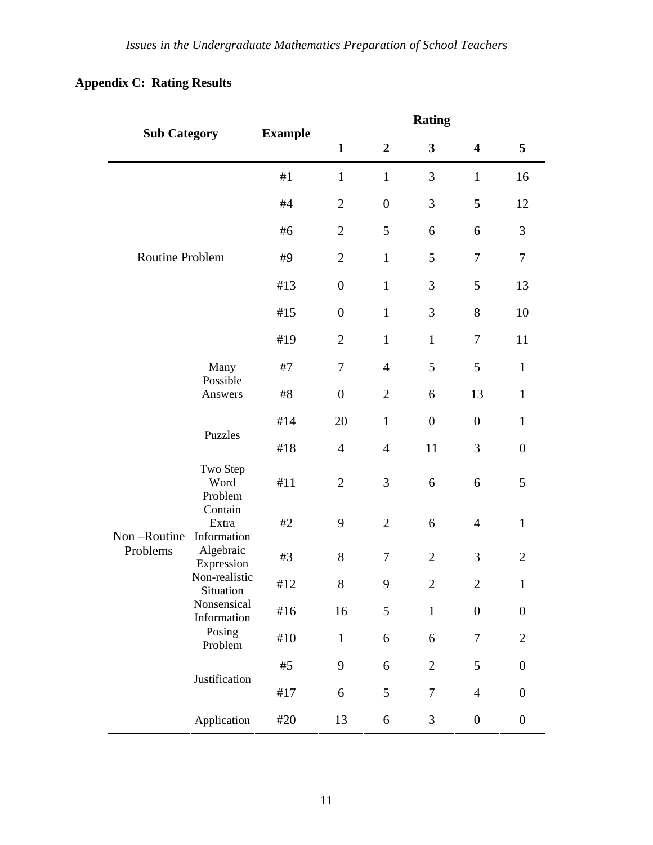|  | <b>Appendix C: Rating Results</b> |
|--|-----------------------------------|
|--|-----------------------------------|

| <b>Sub Category</b> |                                 |                | <b>Rating</b>    |                  |                |                         |                  |
|---------------------|---------------------------------|----------------|------------------|------------------|----------------|-------------------------|------------------|
|                     |                                 | <b>Example</b> | $\mathbf{1}$     | $\boldsymbol{2}$ | $\mathbf{3}$   | $\overline{\mathbf{4}}$ | 5                |
|                     |                                 | #1             | $\mathbf{1}$     | $\mathbf{1}$     | 3              | $\mathbf{1}$            | 16               |
|                     | Routine Problem                 |                | $\overline{2}$   | $\overline{0}$   | 3              | 5                       | 12               |
|                     |                                 |                | $\overline{2}$   | 5                | 6              | 6                       | 3                |
|                     |                                 |                | $\overline{2}$   | $\mathbf{1}$     | 5              | $\boldsymbol{7}$        | $\tau$           |
|                     |                                 |                | $\boldsymbol{0}$ | $\mathbf{1}$     | 3              | 5                       | 13               |
|                     |                                 |                | $\overline{0}$   | $\mathbf{1}$     | 3              | 8                       | 10               |
|                     |                                 | #19            | $\overline{2}$   | $\mathbf{1}$     | $\mathbf{1}$   | $\tau$                  | 11               |
|                     | Many                            | #7             | $\tau$           | $\overline{4}$   | 5              | 5                       | $\mathbf{1}$     |
|                     | Possible<br>Answers             | #8             | $\overline{0}$   | $\overline{2}$   | 6              | 13                      | $\mathbf{1}$     |
|                     |                                 | #14            | 20               | $\mathbf{1}$     | $\overline{0}$ | $\overline{0}$          | $\mathbf{1}$     |
|                     | Puzzles                         | #18            | $\overline{4}$   | $\overline{4}$   | 11             | 3                       | $\boldsymbol{0}$ |
|                     | Two Step<br>Word<br>Problem     | #11            | $\overline{2}$   | 3                | 6              | 6                       | 5                |
| Non-Routine         | Contain<br>Extra<br>Information | #2             | 9                | $\overline{2}$   | 6              | $\overline{4}$          | $\mathbf{1}$     |
| Problems            | Algebraic<br>Expression         | #3             | 8                | $\boldsymbol{7}$ | $\overline{2}$ | 3                       | $\overline{2}$   |
|                     | Non-realistic<br>Situation      | $\#12$         | 8                | 9                | $\mathbf{2}$   | $\overline{2}$          | $\mathbf{1}$     |
|                     | Nonsensical<br>Information      | #16            | 16               | 5                | $\mathbf 1$    | $\boldsymbol{0}$        | $\boldsymbol{0}$ |
|                     | Posing<br>Problem               | $\#10$         | $\mathbf{1}$     | 6                | 6              | 7                       | $\overline{2}$   |
|                     | Justification                   | #5             | 9                | 6                | $\overline{2}$ | 5                       | $\boldsymbol{0}$ |
|                     |                                 | #17            | 6                | 5                | $\tau$         | $\overline{4}$          | $\boldsymbol{0}$ |
|                     | Application                     | #20            | 13               | 6                | 3              | $\boldsymbol{0}$        | $\boldsymbol{0}$ |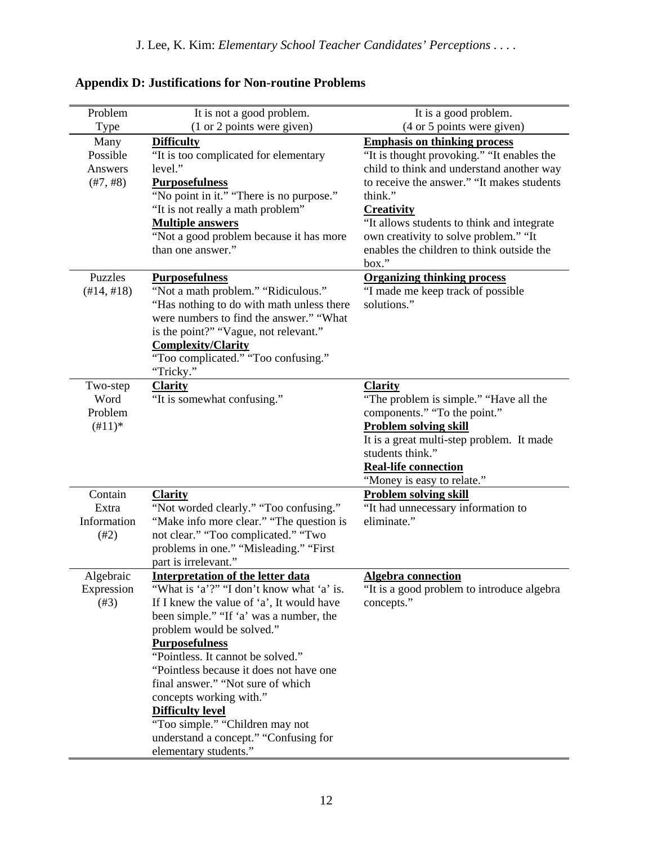| Problem                                                   | It is not a good problem.                                                                                                                                                                                                                                                                                                                                                                                                                                                                                           | It is a good problem.                                                                                                                                                                                                                                                                                                                                     |
|-----------------------------------------------------------|---------------------------------------------------------------------------------------------------------------------------------------------------------------------------------------------------------------------------------------------------------------------------------------------------------------------------------------------------------------------------------------------------------------------------------------------------------------------------------------------------------------------|-----------------------------------------------------------------------------------------------------------------------------------------------------------------------------------------------------------------------------------------------------------------------------------------------------------------------------------------------------------|
| Type                                                      | (1 or 2 points were given)                                                                                                                                                                                                                                                                                                                                                                                                                                                                                          | (4 or 5 points were given)                                                                                                                                                                                                                                                                                                                                |
| Many<br>Possible<br>Answers<br>$(\text{\#}7, \text{\#}8)$ | <b>Difficulty</b><br>"It is too complicated for elementary<br>level."<br><b>Purposefulness</b><br>"No point in it." "There is no purpose."<br>"It is not really a math problem"<br><b>Multiple answers</b><br>"Not a good problem because it has more<br>than one answer."                                                                                                                                                                                                                                          | <b>Emphasis on thinking process</b><br>"It is thought provoking." "It enables the<br>child to think and understand another way<br>to receive the answer." "It makes students<br>think."<br><b>Creativity</b><br>"It allows students to think and integrate<br>own creativity to solve problem." "It<br>enables the children to think outside the<br>box." |
| Puzzles<br>$(\#14, \#18)$                                 | <b>Purposefulness</b><br>"Not a math problem." "Ridiculous."<br>"Has nothing to do with math unless there<br>were numbers to find the answer." "What<br>is the point?" "Vague, not relevant."<br><b>Complexity/Clarity</b><br>"Too complicated." "Too confusing."<br>"Tricky."                                                                                                                                                                                                                                      | <b>Organizing thinking process</b><br>"I made me keep track of possible<br>solutions."                                                                                                                                                                                                                                                                    |
| Two-step<br>Word<br>Problem<br>$(\#11)^*$                 | <b>Clarity</b><br>"It is somewhat confusing."                                                                                                                                                                                                                                                                                                                                                                                                                                                                       | <b>Clarity</b><br>"The problem is simple." "Have all the<br>components." "To the point."<br><b>Problem solving skill</b><br>It is a great multi-step problem. It made<br>students think."<br>Real-life connection<br>"Money is easy to relate."                                                                                                           |
| Contain<br>Extra<br>Information<br>(#2)                   | <b>Clarity</b><br>"Not worded clearly." "Too confusing."<br>"Make info more clear." "The question is<br>not clear." "Too complicated." "Two<br>problems in one." "Misleading." "First<br>part is irrelevant."                                                                                                                                                                                                                                                                                                       | <b>Problem solving skill</b><br>"It had unnecessary information to<br>eliminate."                                                                                                                                                                                                                                                                         |
| Algebraic<br>Expression<br>(#3)                           | <b>Interpretation of the letter data</b><br>"What is 'a'?" "I don't know what 'a' is.<br>If I knew the value of 'a', It would have<br>been simple." "If 'a' was a number, the<br>problem would be solved."<br><b>Purposefulness</b><br>"Pointless. It cannot be solved."<br>"Pointless because it does not have one<br>final answer." "Not sure of which<br>concepts working with."<br><b>Difficulty level</b><br>"Too simple." "Children may not<br>understand a concept." "Confusing for<br>elementary students." | <b>Algebra connection</b><br>"It is a good problem to introduce algebra<br>concepts."                                                                                                                                                                                                                                                                     |

# **Appendix D: Justifications for Non-routine Problems**